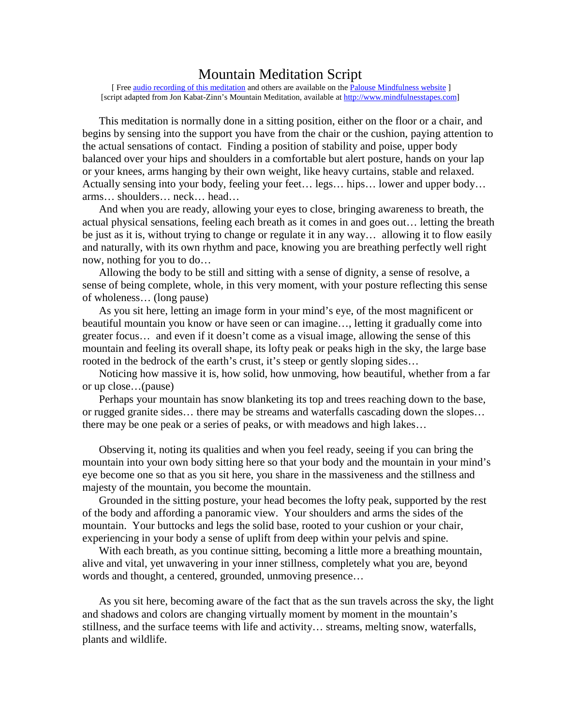## Mountain Meditation Script

[ Free <u>audio recording of this meditation</u> and others are available on the [Palouse Mindfulness website](http://palousemindfulness.com/) 1 [script adapted from Jon Kabat-Zinn's Mountain Meditation, available a[t http://www.mindfulnesstapes.com\]](http://www.mindfulnesstapes.com/)

This meditation is normally done in a sitting position, either on the floor or a chair, and begins by sensing into the support you have from the chair or the cushion, paying attention to the actual sensations of contact. Finding a position of stability and poise, upper body balanced over your hips and shoulders in a comfortable but alert posture, hands on your lap or your knees, arms hanging by their own weight, like heavy curtains, stable and relaxed. Actually sensing into your body, feeling your feet… legs… hips… lower and upper body… arms… shoulders… neck… head…

And when you are ready, allowing your eyes to close, bringing awareness to breath, the actual physical sensations, feeling each breath as it comes in and goes out… letting the breath be just as it is, without trying to change or regulate it in any way… allowing it to flow easily and naturally, with its own rhythm and pace, knowing you are breathing perfectly well right now, nothing for you to do…

Allowing the body to be still and sitting with a sense of dignity, a sense of resolve, a sense of being complete, whole, in this very moment, with your posture reflecting this sense of wholeness… (long pause)

As you sit here, letting an image form in your mind's eye, of the most magnificent or beautiful mountain you know or have seen or can imagine…, letting it gradually come into greater focus… and even if it doesn't come as a visual image, allowing the sense of this mountain and feeling its overall shape, its lofty peak or peaks high in the sky, the large base rooted in the bedrock of the earth's crust, it's steep or gently sloping sides...

Noticing how massive it is, how solid, how unmoving, how beautiful, whether from a far or up close…(pause)

Perhaps your mountain has snow blanketing its top and trees reaching down to the base, or rugged granite sides… there may be streams and waterfalls cascading down the slopes… there may be one peak or a series of peaks, or with meadows and high lakes…

Observing it, noting its qualities and when you feel ready, seeing if you can bring the mountain into your own body sitting here so that your body and the mountain in your mind's eye become one so that as you sit here, you share in the massiveness and the stillness and majesty of the mountain, you become the mountain.

Grounded in the sitting posture, your head becomes the lofty peak, supported by the rest of the body and affording a panoramic view. Your shoulders and arms the sides of the mountain. Your buttocks and legs the solid base, rooted to your cushion or your chair, experiencing in your body a sense of uplift from deep within your pelvis and spine.

With each breath, as you continue sitting, becoming a little more a breathing mountain, alive and vital, yet unwavering in your inner stillness, completely what you are, beyond words and thought, a centered, grounded, unmoving presence…

As you sit here, becoming aware of the fact that as the sun travels across the sky, the light and shadows and colors are changing virtually moment by moment in the mountain's stillness, and the surface teems with life and activity… streams, melting snow, waterfalls, plants and wildlife.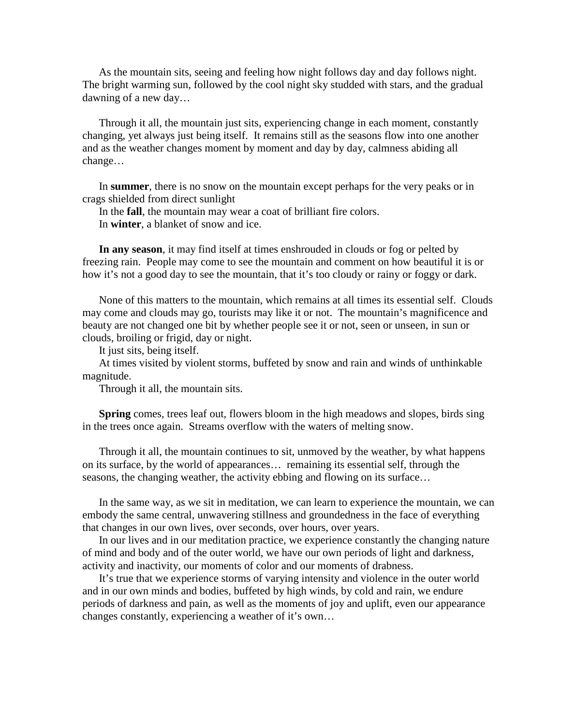As the mountain sits, seeing and feeling how night follows day and day follows night. The bright warming sun, followed by the cool night sky studded with stars, and the gradual dawning of a new day…

Through it all, the mountain just sits, experiencing change in each moment, constantly changing, yet always just being itself. It remains still as the seasons flow into one another and as the weather changes moment by moment and day by day, calmness abiding all change…

In **summer**, there is no snow on the mountain except perhaps for the very peaks or in crags shielded from direct sunlight

In the **fall**, the mountain may wear a coat of brilliant fire colors.

In **winter**, a blanket of snow and ice.

**In any season**, it may find itself at times enshrouded in clouds or fog or pelted by freezing rain. People may come to see the mountain and comment on how beautiful it is or how it's not a good day to see the mountain, that it's too cloudy or rainy or foggy or dark.

None of this matters to the mountain, which remains at all times its essential self. Clouds may come and clouds may go, tourists may like it or not. The mountain's magnificence and beauty are not changed one bit by whether people see it or not, seen or unseen, in sun or clouds, broiling or frigid, day or night.

It just sits, being itself.

At times visited by violent storms, buffeted by snow and rain and winds of unthinkable magnitude.

Through it all, the mountain sits.

**Spring** comes, trees leaf out, flowers bloom in the high meadows and slopes, birds sing in the trees once again. Streams overflow with the waters of melting snow.

Through it all, the mountain continues to sit, unmoved by the weather, by what happens on its surface, by the world of appearances… remaining its essential self, through the seasons, the changing weather, the activity ebbing and flowing on its surface…

In the same way, as we sit in meditation, we can learn to experience the mountain, we can embody the same central, unwavering stillness and groundedness in the face of everything that changes in our own lives, over seconds, over hours, over years.

In our lives and in our meditation practice, we experience constantly the changing nature of mind and body and of the outer world, we have our own periods of light and darkness, activity and inactivity, our moments of color and our moments of drabness.

It's true that we experience storms of varying intensity and violence in the outer world and in our own minds and bodies, buffeted by high winds, by cold and rain, we endure periods of darkness and pain, as well as the moments of joy and uplift, even our appearance changes constantly, experiencing a weather of it's own…